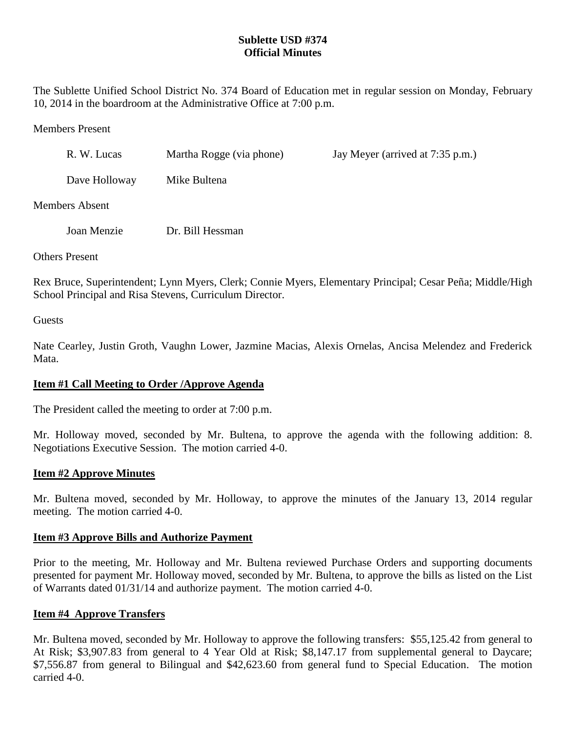# **Sublette USD #374 Official Minutes**

The Sublette Unified School District No. 374 Board of Education met in regular session on Monday, February 10, 2014 in the boardroom at the Administrative Office at 7:00 p.m.

Members Present

| R. W. Lucas    | Martha Rogge (via phone) | Jay Meyer (arrived at 7:35 p.m.) |
|----------------|--------------------------|----------------------------------|
| Dave Holloway  | Mike Bultena             |                                  |
| Members Absent |                          |                                  |

Joan Menzie Dr. Bill Hessman

Others Present

Rex Bruce, Superintendent; Lynn Myers, Clerk; Connie Myers, Elementary Principal; Cesar Peña; Middle/High School Principal and Risa Stevens, Curriculum Director.

**Guests** 

Nate Cearley, Justin Groth, Vaughn Lower, Jazmine Macias, Alexis Ornelas, Ancisa Melendez and Frederick Mata.

# **Item #1 Call Meeting to Order /Approve Agenda**

The President called the meeting to order at 7:00 p.m.

Mr. Holloway moved, seconded by Mr. Bultena, to approve the agenda with the following addition: 8. Negotiations Executive Session. The motion carried 4-0.

## **Item #2 Approve Minutes**

Mr. Bultena moved, seconded by Mr. Holloway, to approve the minutes of the January 13, 2014 regular meeting. The motion carried 4-0.

## **Item #3 Approve Bills and Authorize Payment**

Prior to the meeting, Mr. Holloway and Mr. Bultena reviewed Purchase Orders and supporting documents presented for payment Mr. Holloway moved, seconded by Mr. Bultena, to approve the bills as listed on the List of Warrants dated 01/31/14 and authorize payment. The motion carried 4-0.

## **Item #4 Approve Transfers**

Mr. Bultena moved, seconded by Mr. Holloway to approve the following transfers: \$55,125.42 from general to At Risk; \$3,907.83 from general to 4 Year Old at Risk; \$8,147.17 from supplemental general to Daycare; \$7,556.87 from general to Bilingual and \$42,623.60 from general fund to Special Education. The motion carried 4-0.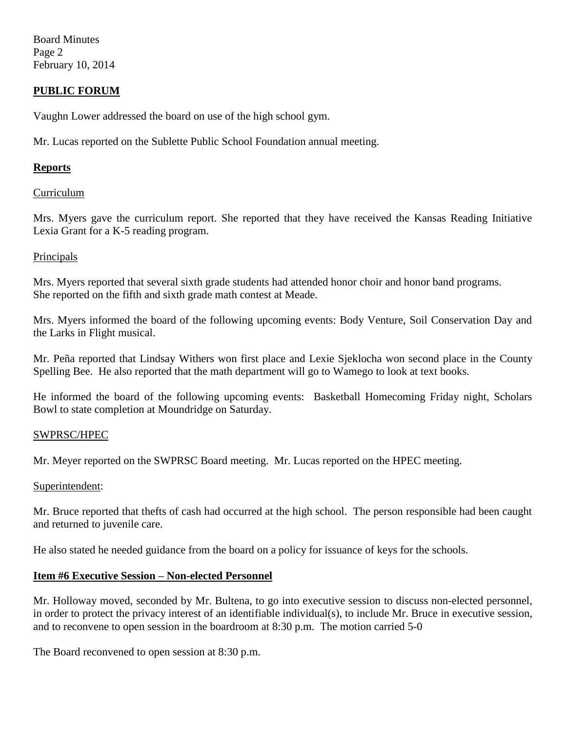Board Minutes Page 2 February 10, 2014

## **PUBLIC FORUM**

Vaughn Lower addressed the board on use of the high school gym.

Mr. Lucas reported on the Sublette Public School Foundation annual meeting.

## **Reports**

### Curriculum

Mrs. Myers gave the curriculum report. She reported that they have received the Kansas Reading Initiative Lexia Grant for a K-5 reading program.

### Principals

Mrs. Myers reported that several sixth grade students had attended honor choir and honor band programs. She reported on the fifth and sixth grade math contest at Meade.

Mrs. Myers informed the board of the following upcoming events: Body Venture, Soil Conservation Day and the Larks in Flight musical.

Mr. Peña reported that Lindsay Withers won first place and Lexie Sjeklocha won second place in the County Spelling Bee. He also reported that the math department will go to Wamego to look at text books.

He informed the board of the following upcoming events: Basketball Homecoming Friday night, Scholars Bowl to state completion at Moundridge on Saturday.

## SWPRSC/HPEC

Mr. Meyer reported on the SWPRSC Board meeting. Mr. Lucas reported on the HPEC meeting.

#### Superintendent:

Mr. Bruce reported that thefts of cash had occurred at the high school. The person responsible had been caught and returned to juvenile care.

He also stated he needed guidance from the board on a policy for issuance of keys for the schools.

## **Item #6 Executive Session – Non-elected Personnel**

Mr. Holloway moved, seconded by Mr. Bultena, to go into executive session to discuss non-elected personnel, in order to protect the privacy interest of an identifiable individual(s), to include Mr. Bruce in executive session, and to reconvene to open session in the boardroom at 8:30 p.m. The motion carried 5-0

The Board reconvened to open session at 8:30 p.m.